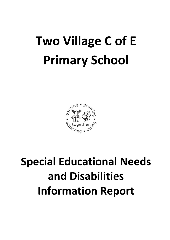# **Two Village C of E Primary School**



# **Special Educational Needs and Disabilities Information Report**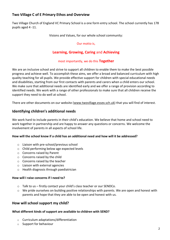# **Two Village C of E Primary Ethos and Overview**

Two Village Church of England VC Primary School is a one form entry school. The school currently has 178 pupils aged 4 -11.

Visions and Values, for our whole school community:

#### Our motto is,

# **Learning, Growing, Caring** and **Achieving**

#### most importantly, we do this **Together**

We are an inclusive school and strive to support all children to enable them to make the best possible progress and achieve well. To accomplish these aims, we offer a broad and balanced curriculum with high quality teaching for all pupils. We provide effective support for children with special educational needs and disabilities, starting from our first contacts with parents and carers when a child enters our school. We make sure that additional needs are identified early and we offer a range of provision according to identified needs. We work with a range of other professionals to make sure that all children receive the support they need to do well at school.

There are other documents on our website [\(www.twovillage.essex.sch.uk\)](http://www.twovillage.essex.sch.uk/) that you will find of interest.

## **Identifying children's additional needs**

We work hard to include parents in their child's education. We believe that home and school need to work together in partnership and are happy to answer any questions or concerns. We welcome the involvement of parents in all aspects of school life.

#### **How will the school know if a child has an additional need and how will it be addressed?**

- o Liaison with pre-school/previous school
- o Child performing below age expected levels
- o Concerns raised by Parent
- o Concerns raised by the child
- o Concerns raised by the teacher
- o Liaison with external agencies
- o Health diagnosis through paediatrician

#### **How will I raise concerns if I need to?**

- o Talk to us firstly contact your child's class teacher or our SENDCo.
- $\circ$  We pride ourselves on building positive relationships with parents. We are open and honest with parents and hope that they are able to be open and honest with us.

#### **How will school support my child?**

#### **What different kinds of support are available to children with SEND?**

- o Curriculum adaptations/differentiation
- o Support for behaviour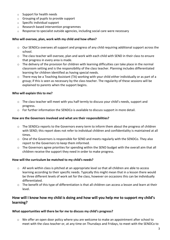- o Support for health needs
- o Grouping of pupils to provide support
- o Specific individual support
- o Research based intervention programmes
- o Response to specialist outside agencies, including social care were necessary

#### **Who will oversee, plan, work with my child and how often?**

- $\circ$  Our SENDCo oversees all support and progress of any child requiring additional support across the school.
- o The class teacher will oversee, plan and work with each child with SEND in their class to ensure that progress in every area is made.
- o The delivery of the provision for children with learning difficulties can take place in the normal classroom setting and is the responsibility of the class teacher. Planning includes differentiated learning for children identified as having special needs.
- o There may be a Teaching Assistant (TA) working with your child either individually or as part of a group; if this is seen as necessary by the class teacher. The regularity of these sessions will be explained to parents when the support begins.

#### **Who will explain this to me?**

- $\circ$  The class teacher will meet with you half termly to discuss your child's needs, support and progress.
- o For further information the SENDCo is available to discuss support in more detail.

#### **How are the Governors involved and what are their responsibilities?**

- $\circ$  The SENDCo reports to the Governors every term to inform them about the progress of children with SEND; this report does not refer to individual children and confidentiality is maintained at all times.
- $\circ$  One of the Governors is responsible for SEND and meets regularly with the SENDCo. They also report to the Governors to keep them informed.
- o The Governors agree priorities for spending within the SEND budget with the overall aim that all children receive the support they need in order to make progress.

#### **How will the curriculum be matched to my child's needs?**

- $\circ$  All work within class is pitched at an appropriate level so that all children are able to access learning according to their specific needs. Typically this might mean that in a lesson there would be three different levels of work set for the class, however on occasions this can be individually differentiated.
- o The benefit of this type of differentiation is that all children can access a lesson and learn at their level.

# **How will I know how my child is doing and how will you help me to support my child's learning?**

#### **What opportunities will there be for me to discuss my child's progress?**

o We offer an open door policy where you are welcome to make an appointment after school to meet with the class teacher or, at any time on Thursdays and Fridays, to meet with the SENDCo to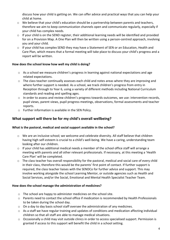discuss how your child is getting on. We can offer advice and practical ways that you can help your child at home.

- o We believe that your child's education should be a partnership between parents and teachers, therefore we aim to keep communication channels open and communicate regularly, especially if your child has complex needs.
- o If your child is on the SEND register, their additional learning needs will be identified and provided for on a Provision Map. A One Plan will then be written using a person-centred approach, involving you and your child.
- $\circ$  If your child has complex SEND they may have a Statement of SEN or an Education, Health and Care Plan, which means that a formal meeting will take place to discuss your child's progress and a report will be written.

#### **How does the school know how well my child is doing?**

- o As a school we measure children's progress in learning against national expectations and age related expectations.
- $\circ$  The class teacher continually assesses each child and notes areas where they are improving and where further support is needed. As a school, we track children's progress from entry in Reception through to Year 6, using a variety of different methods including National Curriculum standards and reading and spelling ages.
- o In order to assess and review children's progress towards outcomes, we use: intervention records, pupil views, parent views, pupil progress meetings, observations, formal assessments and teacher reports.
- o Further information is available in the SEN Policy.

# **What support will there be for my child's overall wellbeing?**

#### **What is the pastoral, medical and social support available in the school?**

- $\circ$  We are an inclusive school; we welcome and celebrate diversity. All staff believe that children having high self-esteem is crucial to a child's well-being. We have a caring, understanding team looking after our children.
- o If your child has additional medical needs a member of the school office staff will arrange a meeting with parents and all other relevant professionals. If necessary, at this meeting a 'Health Care Plan' will be completed.
- o The class teacher has overall responsibility for the pastoral, medical and social care of every child in their class, therefore this would be the parents' first point of contact. If further support is required, the class teacher liaises with the SENDCo for further advice and support. This may involve working alongside the school Learning Mentor, or outside agencies such as Health and Social Services, and/or the Social, Emotional and Mental Health Specialist Teacher Team.

#### **How does the school manage the administration of medicines?**

- o The school are happy to administer medicines on the school site.
- o Parents need to contact the school office if medication is recommended by Health Professionals to be taken during the school day.
- o On a day to day basis school staff oversee the administration of any medicines.
- o As a staff we have regular training and updates of conditions and medication affecting individual children so that all staff are able to manage medical situations.
- $\circ$  Occasionally a child may visit outside clinics in order to access specialised support. Permission is granted if access to this support will benefit the child in a school setting.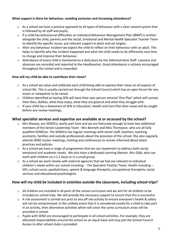#### **What support is there for behaviour, avoiding exclusion and increasing attendance?**

- o As a school we have a positive approach to all types of behaviour with a clear reward system that is followed by all staff and pupils.
- o If a child has behavioural difficulties an Individual Behaviour Management Plan (IBMP) is written alongside the child, parents and the Social, Emotional and Mental Health Specialist Teacher Team to identify the specific issues, put relevant support in place and set targets.
- $\circ$  After any behaviour incident we expect the child to reflect on their behaviour with an adult. This helps to identify why the incident happened and what the child needs to do differently next time to change and improve their behaviour.
- o Attendance of every child is monitored on a daily basis by the Administrative Staff. Lateness and absences are recorded and reported to the Headteacher. Good attendance is actively encouraged throughout the school and is rewarded.

#### **How will my child be able to contribute their views?**

- $\circ$  As a school we value and celebrate each child being able to express their views on all aspects of school life. This is usually carried out through the School Council which has an open forum for any issues or viewpoints to be raised.
- o Children identified as having SEN will have their own person centred 'One Plan' which will contain their likes, dislikes, what they enjoy, what they are good at and what they struggle with.
- $\circ$  If your child has a Statement of SEN or Education, Health and Care Plan their views will be sought before any review meetings.

#### **What specialist services and expertise are available at or accessed by the school?**

- o Mrs Massey, our SENDCo, works part time and we are fortunate enough to have two additional members of the Senior Leadership Team - Mrs Bennett and Miss Thompson, who are all fully qualified SENDCos. The SENDCo has regular meetings with senior staff, teachers, teaching assistants, families and outside professionals about the provision of the school. She also regularly attends SEND cluster meetings, training and conferences to remain informed about latest practices and policies.
- $\circ$  As a school we have a range of programmes that we can implement to address both social, emotional and academic needs. We also have a dedicated Learning Mentor, Mrs Gibb, who can work with children on a 1:1 basis or in a small group.
- o As a school we work closely with external agencies that we feel are relevant to individual children's needs within our school including: - The Specialist Teacher Team; Health including – GPs, school nurse, paediatricians, speech & language therapists; occupational therapists; social services and educational psychologists.

#### **How will my child be included in activities outside the classroom, including school trips?**

- o All children are included in all parts of the school curriculum and we aim for all children to be included on school trips. We will provide the necessary support to ensure that this is successful.
- $\circ$  A risk assessment is carried out prior to any off site activity to ensure everyone's health & safety will not be compromised. In the unlikely event that it is considered unsafe for a child to take part in an activity, then alternative activities which will cover the same curriculum areas will be provided in school.
- $\circ$  Pupils with SEND are encouraged to participate in all school activities. For example, they are allocated responsibilities around the school on an equal basis and may join the School Council. Access to after school clubs is provided.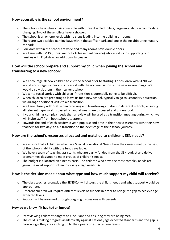# **How accessible is the school environment?**

- o The school site is wheelchair accessible with three disabled toilets, large enough to accommodate changing. Two of these toilets have a shower.
- $\circ$  The school is all on one level, with no steps leading into the building or rooms.
- o There are two disabled parking bays within the staff car park and one in the neighbouring nursery car park.
- o Corridors within the school are wide and many rooms have double doors.
- o We liaise with EMAS (Ethnic minority Achievement Service) who assist us in supporting our families with English as an additional language.

# **How will the school prepare and support my child when joining the school and transferring to a new school?**

- o We encourage all new children to visit the school prior to starting. For children with SEND we would encourage further visits to assist with the acclimatisation of the new surroundings. We would also visit them in their current school.
- o We write social stories with children if transition is potentially going to be difficult.
- o When children are preparing to leave us for a new school, typically to go to Secondary education, we arrange additional visits to aid transition.
- $\circ$  We liaise closely with Staff when receiving and transferring children to different schools, ensuring all relevant paperwork is passed on and all needs are discussed and understood.
- $\circ$  If your child has complex needs then a review will be used as a transition meeting during which we will invite staff from both schools to attend.
- o Towards the end of each academic year, pupils spend time in their new classrooms with their new teachers for two days to aid transition to the next stage of their school journey.

# **How are the school's resources allocated and matched to children's SEN needs?**

- o We ensure that all children who have Special Educational Needs have their needs met to the best of the school's ability with the funds available.
- o We have a team of teaching assistants who are partly funded from the SEN budget and deliver programmes designed to meet groups of children's needs.
- o The budget is allocated on a needs basis. The children who have the most complex needs are given the most support, often involving a high needs TA.

#### **How is the decision made about what type and how much support my child will receive?**

- $\circ$  The class teacher, alongside the SENDCo, will discuss the child's needs and what support would be appropriate.
- o Different children will require different levels of support in order to bridge the gap to achieve age expected levels.
- o Support will be arranged through on-going discussions with parents.

#### **How do we know if it has had an impact?**

- $\circ$  By reviewing children's targets on One Plans and ensuring they are being met.
- o The child is making progress academically against national/age expected standards and the gap is narrowing – they are catching up to their peers or expected age levels.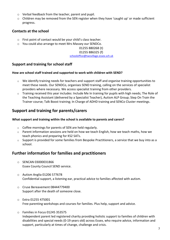- o Verbal feedback from the teacher, parent and pupil.
- o Children may be removed from the SEN register when they have 'caught up' or made sufficient progress.

# **Contacts at the school**

- o First point of contact would be your child's class teacher.
- o You could also arrange to meet Mrs Massey our SENDCo.

#### 01255 880268 (t)

#### 01255 886325 (f)

[schooloffice@twovillage.essex.sch.uk](mailto:schooloffice@twovillage.essex.sch.uk)

# **Support and training for school staff**

#### **How are school staff trained and supported to work with children with SEND?**

- o We identify training needs for teachers and support staff and organise training opportunities to meet these needs. Our SENDCo, organises SEND training, calling on the services of specialist providers where necessary. We access specialist training from other providers.
- Training received this year includes: Include Me In training for pupils with high needs; The Role of the Teaching Assistant (delivered by a Specialist Teacher), Autism ALP Group; Step On Train the Trainer course; Talk Boost training; In Charge of ADHD training and SENCo Cluster meetings.

# **Support and training for parents/carers**

#### **What support and training within the school is available to parents and carers?**

- o Coffee mornings for parents of SEN are held regularly.
- o Parent information sessions are held on how we teach English, how we teach maths, how we teach phonics and preparing for KS2 SATs.
- o Support is provided for some families from Bespoke Practitioners, a service that we buy into as a school.

# **Further information for families and practitioners**

- o SENCAN 03000031866 Essex County Council SEND service.
- o Autism Anglia 01206 577678 Confidential support, a listening ear, practical advice to families affected with autism.
- o Cruse Bereavement 08444779400 Support after the death of someone close.
- o Extra 01255 475001 Free parenting workshops and courses for families. Plus help, support and advice.
- o Families in Focus 01245 353575 Independent parent led registered charity providing holistic support to families of children with disabilities and special needs (0-19 years old) across Essex, who require advice, information and support, particularly at times of change, challenge and crisis.